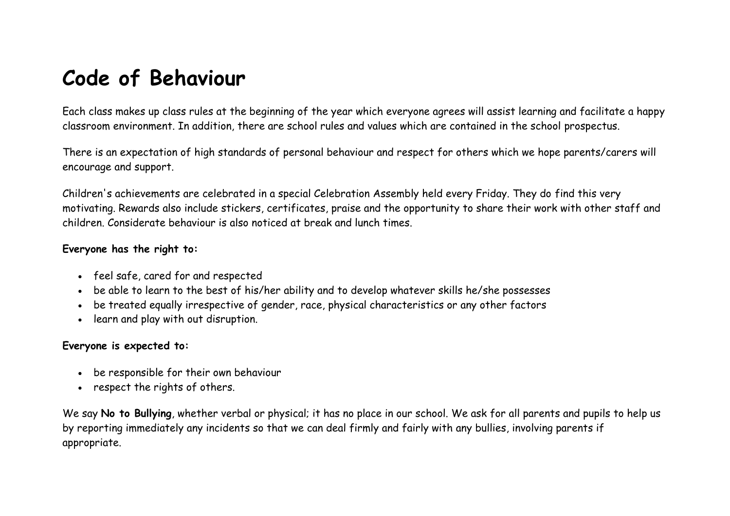## **Code of Behaviour**

Each class makes up class rules at the beginning of the year which everyone agrees will assist learning and facilitate a happy classroom environment. In addition, there are school rules and values which are contained in the school prospectus.

There is an expectation of high standards of personal behaviour and respect for others which we hope parents/carers will encourage and support.

Children's achievements are celebrated in a special Celebration Assembly held every Friday. They do find this very motivating. Rewards also include stickers, certificates, praise and the opportunity to share their work with other staff and children. Considerate behaviour is also noticed at break and lunch times.

#### **Everyone has the right to:**

- feel safe, cared for and respected
- be able to learn to the best of his/her ability and to develop whatever skills he/she possesses
- be treated equally irrespective of gender, race, physical characteristics or any other factors
- learn and play with out disruption.

#### **Everyone is expected to:**

- be responsible for their own behaviour
- respect the rights of others.

We say **No to Bullying**, whether verbal or physical; it has no place in our school. We ask for all parents and pupils to help us by reporting immediately any incidents so that we can deal firmly and fairly with any bullies, involving parents if appropriate.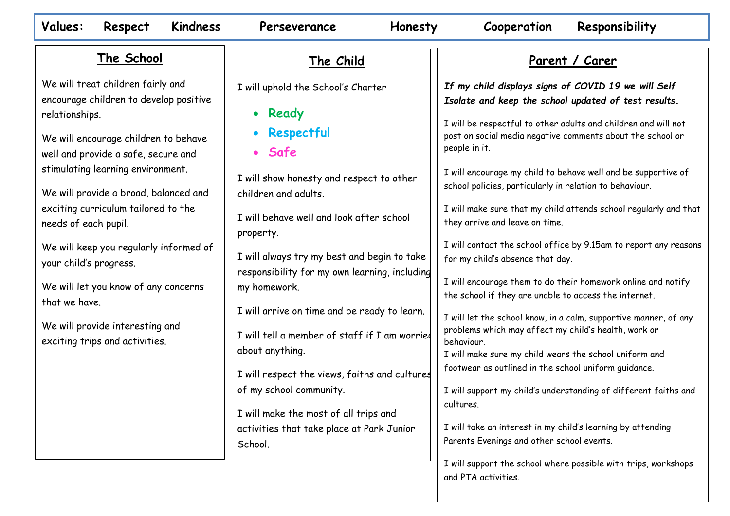#### **Values: Respect Kindness Perseverance Honesty Cooperation Responsibility**

#### **The School**

We will treat children fairly and encourage children to develop positive relationships.

We will encourage children to behave well and provide a safe, secure and stimulating learning environment.

We will provide a broad, balanced and exciting curriculum tailored to the needs of each pupil.

We will keep you regularly informed of your child's progress.

We will let you know of any concerns that we have.

We will provide interesting and exciting trips and activities.

#### **The Child**

I will uphold the School's Charter

• **Ready** 

- **Respectful**
- **Safe**

I will show honesty and respect to other children and adults.

I will behave well and look after school property.

I will always try my best and begin to take responsibility for my own learning, including my homework.

I will arrive on time and be ready to learn.

I will tell a member of staff if I am worried about anything.

I will respect the views, faiths and cultures of my school community.

I will make the most of all trips and activities that take place at Park Junior School.

#### **Parent / Carer**

*If my child displays signs of COVID 19 we will Self Isolate and keep the school updated of test results.* 

I will be respectful to other adults and children and will not post on social media negative comments about the school or people in it.

I will encourage my child to behave well and be supportive of school policies, particularly in relation to behaviour.

I will make sure that my child attends school regularly and that they arrive and leave on time.

I will contact the school office by 9.15am to report any reasons for my child's absence that day.

I will encourage them to do their homework online and notify the school if they are unable to access the internet.

I will let the school know, in a calm, supportive manner, of any problems which may affect my child's health, work or behaviour.

I will make sure my child wears the school uniform and footwear as outlined in the school uniform guidance.

I will support my child's understanding of different faiths and cultures.

I will take an interest in my child's learning by attending Parents Evenings and other school events.

I will support the school where possible with trips, workshops and PTA activities.